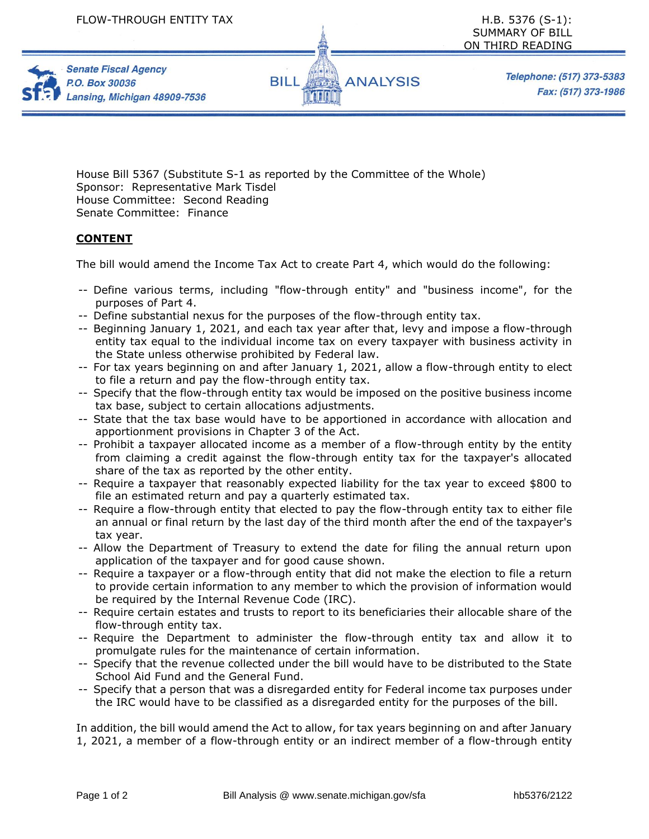

Telephone: (517) 373-5383 Fax: (517) 373-1986

House Bill 5367 (Substitute S-1 as reported by the Committee of the Whole) Sponsor: Representative Mark Tisdel House Committee: Second Reading Senate Committee: Finance

## **CONTENT**

**Senate Fiscal Agency** 

Lansing, Michigan 48909-7536

P.O. Box 30036

The bill would amend the Income Tax Act to create Part 4, which would do the following:

- -- Define various terms, including "flow-through entity" and "business income", for the purposes of Part 4.
- -- Define substantial nexus for the purposes of the flow-through entity tax.
- -- Beginning January 1, 2021, and each tax year after that, levy and impose a flow-through entity tax equal to the individual income tax on every taxpayer with business activity in the State unless otherwise prohibited by Federal law.
- -- For tax years beginning on and after January 1, 2021, allow a flow-through entity to elect to file a return and pay the flow-through entity tax.
- -- Specify that the flow-through entity tax would be imposed on the positive business income tax base, subject to certain allocations adjustments.
- -- State that the tax base would have to be apportioned in accordance with allocation and apportionment provisions in Chapter 3 of the Act.
- -- Prohibit a taxpayer allocated income as a member of a flow-through entity by the entity from claiming a credit against the flow-through entity tax for the taxpayer's allocated share of the tax as reported by the other entity.
- -- Require a taxpayer that reasonably expected liability for the tax year to exceed \$800 to file an estimated return and pay a quarterly estimated tax.
- -- Require a flow-through entity that elected to pay the flow-through entity tax to either file an annual or final return by the last day of the third month after the end of the taxpayer's tax year.
- -- Allow the Department of Treasury to extend the date for filing the annual return upon application of the taxpayer and for good cause shown.
- -- Require a taxpayer or a flow-through entity that did not make the election to file a return to provide certain information to any member to which the provision of information would be required by the Internal Revenue Code (IRC).
- -- Require certain estates and trusts to report to its beneficiaries their allocable share of the flow-through entity tax.
- -- Require the Department to administer the flow-through entity tax and allow it to promulgate rules for the maintenance of certain information.
- -- Specify that the revenue collected under the bill would have to be distributed to the State School Aid Fund and the General Fund.
- -- Specify that a person that was a disregarded entity for Federal income tax purposes under the IRC would have to be classified as a disregarded entity for the purposes of the bill.

In addition, the bill would amend the Act to allow, for tax years beginning on and after January 1, 2021, a member of a flow-through entity or an indirect member of a flow-through entity